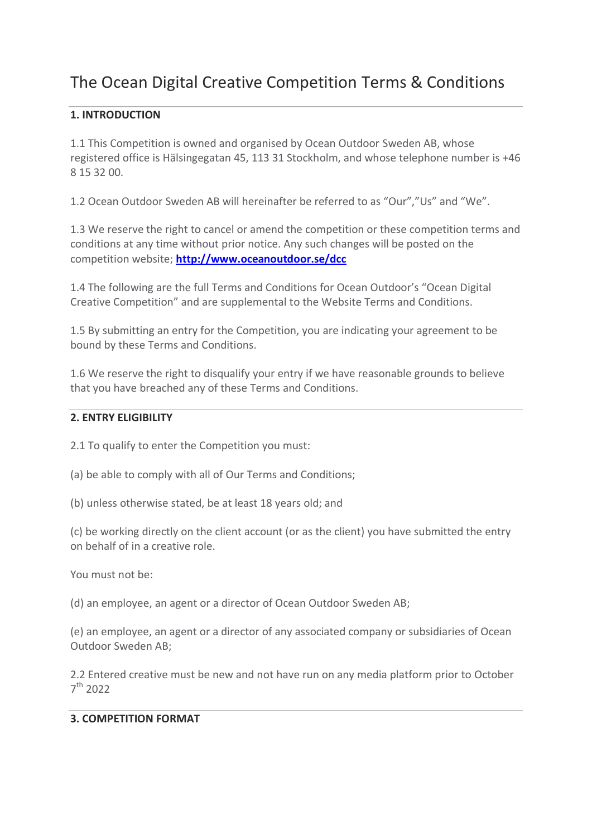# The Ocean Digital Creative Competition Terms & Conditions

# **1. INTRODUCTION**

1.1 This Competition is owned and organised by Ocean Outdoor Sweden AB, whose registered office is Hälsingegatan 45, 113 31 Stockholm, and whose telephone number is +46 8 15 32 00.

1.2 Ocean Outdoor Sweden AB will hereinafter be referred to as "Our","Us" and "We".

1.3 We reserve the right to cancel or amend the competition or these competition terms and conditions at any time without prior notice. Any such changes will be posted on the competition website; **<http://www.oceanoutdoor.se/dcc>**

1.4 The following are the full Terms and Conditions for Ocean Outdoor's "Ocean Digital Creative Competition" and are supplemental to the Website Terms and Conditions.

1.5 By submitting an entry for the Competition, you are indicating your agreement to be bound by these Terms and Conditions.

1.6 We reserve the right to disqualify your entry if we have reasonable grounds to believe that you have breached any of these Terms and Conditions.

#### **2. ENTRY ELIGIBILITY**

2.1 To qualify to enter the Competition you must:

(a) be able to comply with all of Our Terms and Conditions;

(b) unless otherwise stated, be at least 18 years old; and

(c) be working directly on the client account (or as the client) you have submitted the entry on behalf of in a creative role.

You must not be:

(d) an employee, an agent or a director of Ocean Outdoor Sweden AB;

(e) an employee, an agent or a director of any associated company or subsidiaries of Ocean Outdoor Sweden AB;

2.2 Entered creative must be new and not have run on any media platform prior to October 7 th 2022

## **3. COMPETITION FORMAT**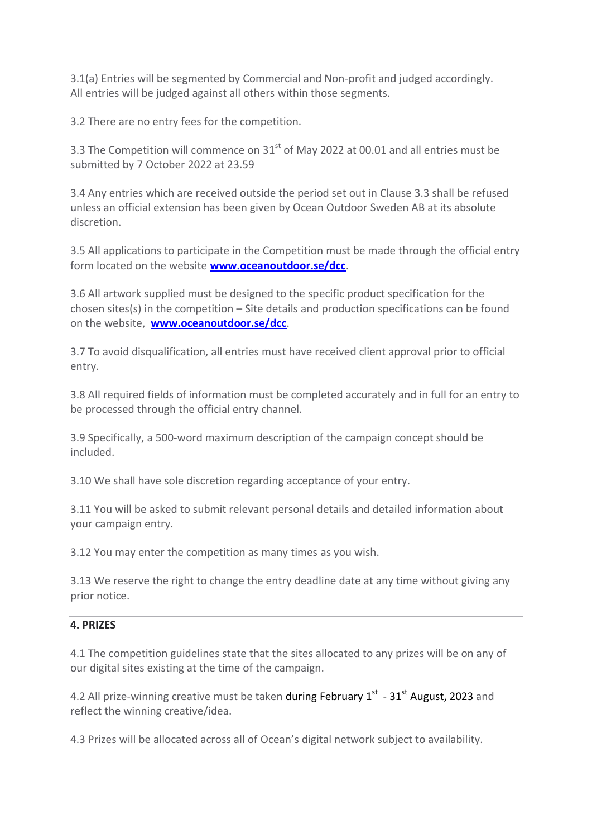3.1(a) Entries will be segmented by Commercial and Non-profit and judged accordingly. All entries will be judged against all others within those segments.

3.2 There are no entry fees for the competition.

3.3 The Competition will commence on  $31<sup>st</sup>$  of May 2022 at 00.01 and all entries must be submitted by 7 October 2022 at 23.59

3.4 Any entries which are received outside the period set out in Clause 3.3 shall be refused unless an official extension has been given by Ocean Outdoor Sweden AB at its absolute discretion.

3.5 All applications to participate in the Competition must be made through the official entry form located on the website **[www.oceanoutdoor.se/dcc](http://www.oceanoutdoor.se/dcc)**.

3.6 All artwork supplied must be designed to the specific product specification for the chosen sites(s) in the competition – Site details and production specifications can be found on the website, **[www.oceanoutdoor.se/dcc](http://www.oceanoutdoor.se/dcc)**.

3.7 To avoid disqualification, all entries must have received client approval prior to official entry.

3.8 All required fields of information must be completed accurately and in full for an entry to be processed through the official entry channel.

3.9 Specifically, a 500-word maximum description of the campaign concept should be included.

3.10 We shall have sole discretion regarding acceptance of your entry.

3.11 You will be asked to submit relevant personal details and detailed information about your campaign entry.

3.12 You may enter the competition as many times as you wish.

3.13 We reserve the right to change the entry deadline date at any time without giving any prior notice.

## **4. PRIZES**

4.1 The competition guidelines state that the sites allocated to any prizes will be on any of our digital sites existing at the time of the campaign.

4.2 All prize-winning creative must be taken during February 1<sup>st</sup> - 31<sup>st</sup> August, 2023 and reflect the winning creative/idea.

4.3 Prizes will be allocated across all of Ocean's digital network subject to availability.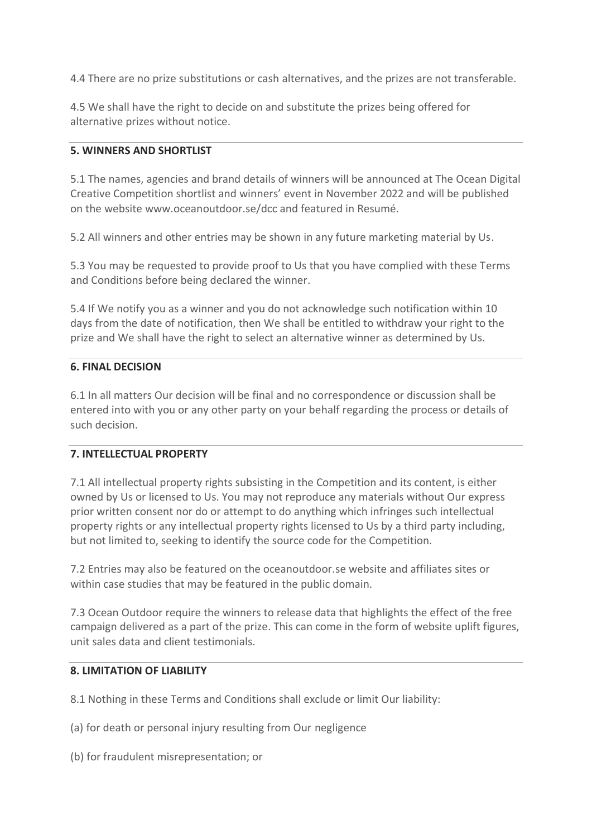4.4 There are no prize substitutions or cash alternatives, and the prizes are not transferable.

4.5 We shall have the right to decide on and substitute the prizes being offered for alternative prizes without notice.

## **5. WINNERS AND SHORTLIST**

5.1 The names, agencies and brand details of winners will be announced at The Ocean Digital Creative Competition shortlist and winners' event in November 2022 and will be published on the website www.oceanoutdoor.se/dcc and featured in Resumé.

5.2 All winners and other entries may be shown in any future marketing material by Us.

5.3 You may be requested to provide proof to Us that you have complied with these Terms and Conditions before being declared the winner.

5.4 If We notify you as a winner and you do not acknowledge such notification within 10 days from the date of notification, then We shall be entitled to withdraw your right to the prize and We shall have the right to select an alternative winner as determined by Us.

#### **6. FINAL DECISION**

6.1 In all matters Our decision will be final and no correspondence or discussion shall be entered into with you or any other party on your behalf regarding the process or details of such decision.

## **7. INTELLECTUAL PROPERTY**

7.1 All intellectual property rights subsisting in the Competition and its content, is either owned by Us or licensed to Us. You may not reproduce any materials without Our express prior written consent nor do or attempt to do anything which infringes such intellectual property rights or any intellectual property rights licensed to Us by a third party including, but not limited to, seeking to identify the source code for the Competition.

7.2 Entries may also be featured on the oceanoutdoor.se website and affiliates sites or within case studies that may be featured in the public domain.

7.3 Ocean Outdoor require the winners to release data that highlights the effect of the free campaign delivered as a part of the prize. This can come in the form of website uplift figures, unit sales data and client testimonials.

#### **8. LIMITATION OF LIABILITY**

8.1 Nothing in these Terms and Conditions shall exclude or limit Our liability:

(a) for death or personal injury resulting from Our negligence

(b) for fraudulent misrepresentation; or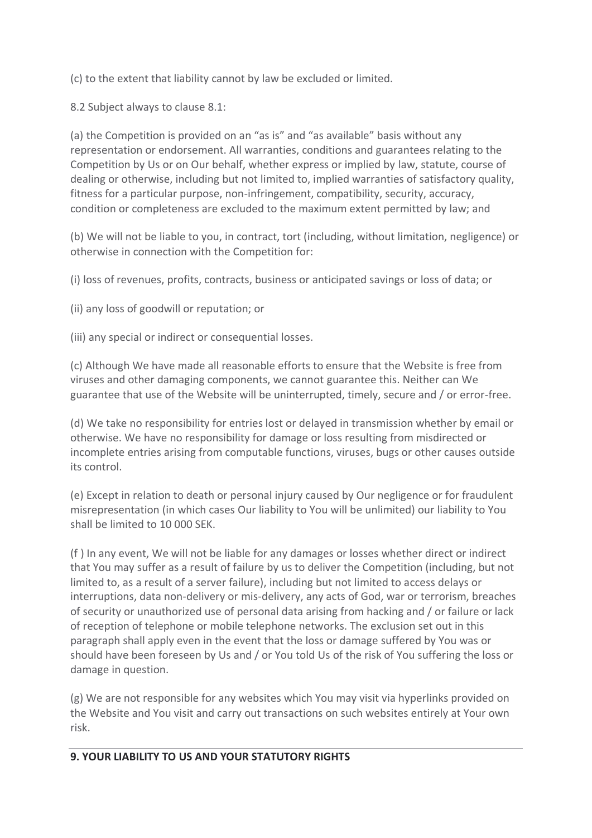(c) to the extent that liability cannot by law be excluded or limited.

8.2 Subject always to clause 8.1:

(a) the Competition is provided on an "as is" and "as available" basis without any representation or endorsement. All warranties, conditions and guarantees relating to the Competition by Us or on Our behalf, whether express or implied by law, statute, course of dealing or otherwise, including but not limited to, implied warranties of satisfactory quality, fitness for a particular purpose, non-infringement, compatibility, security, accuracy, condition or completeness are excluded to the maximum extent permitted by law; and

(b) We will not be liable to you, in contract, tort (including, without limitation, negligence) or otherwise in connection with the Competition for:

(i) loss of revenues, profits, contracts, business or anticipated savings or loss of data; or

(ii) any loss of goodwill or reputation; or

(iii) any special or indirect or consequential losses.

(c) Although We have made all reasonable efforts to ensure that the Website is free from viruses and other damaging components, we cannot guarantee this. Neither can We guarantee that use of the Website will be uninterrupted, timely, secure and / or error-free.

(d) We take no responsibility for entries lost or delayed in transmission whether by email or otherwise. We have no responsibility for damage or loss resulting from misdirected or incomplete entries arising from computable functions, viruses, bugs or other causes outside its control.

(e) Except in relation to death or personal injury caused by Our negligence or for fraudulent misrepresentation (in which cases Our liability to You will be unlimited) our liability to You shall be limited to 10 000 SEK.

(f ) In any event, We will not be liable for any damages or losses whether direct or indirect that You may suffer as a result of failure by us to deliver the Competition (including, but not limited to, as a result of a server failure), including but not limited to access delays or interruptions, data non-delivery or mis-delivery, any acts of God, war or terrorism, breaches of security or unauthorized use of personal data arising from hacking and / or failure or lack of reception of telephone or mobile telephone networks. The exclusion set out in this paragraph shall apply even in the event that the loss or damage suffered by You was or should have been foreseen by Us and / or You told Us of the risk of You suffering the loss or damage in question.

(g) We are not responsible for any websites which You may visit via hyperlinks provided on the Website and You visit and carry out transactions on such websites entirely at Your own risk.